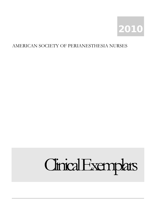

#### AMERICAN SOCIETY OF PERIANESTHESIA NURSES

# Clinical Exemplars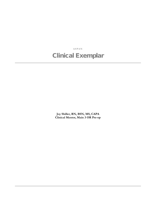**ASPAN**

### Clinical Exemplar

**Joy Shiller, RN, BSN, MS, CAPA Clinical Mentor, Main 3 OR Pre-op**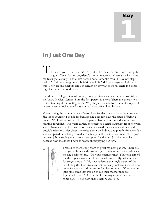## Story 1

#### In Just One Day

he alarm goes off at 3:30 AM. My cat woke me up several times during the night. Yesterday my boyfriend's mother made a cruel remark which hurt my feelings. Last night I told him he was not a romantic man. I have not slept well. As I drive through my subdivision at 4:00 AM I see everyone's lights are out. They are still sleeping and I'm already on my way to work. There is a dense fog. I am not in a good mood. T

I work in a Urology/General Surgery Pre-operative area in a premier hospital in the Texas Medical Center. I am the first person to arrive. There are already two ladies standing at the waiting room. Why they are here before the unit is open? I haven't even unlocked the doors nor had my coffee. I am irritated.

When I bring the patient back to Pre-op I realize that she and I are the same age. She looks younger. I decide it's because she does not have the stress of being a nurse. While admitting her I learn my patient has been recently diagnosed with multiple myeloma. Two years earlier, she received a renal transplant from her twin sister. Now she is in the process of being evaluated for a rising creatinine and possible rejection. Her sister is worried about the kidney but grateful for every day she has spared her sibling from dialysis. My patient tells me how much she enjoys her new job managing an apartment complex. It's the best job she's ever had because now she doesn't have to worry about paying her rent.



I return to the waiting room to greet my next patient. There are two young ladies with two little girls. When one of the ladies sees me she begins to cry. "Do you remember me? You took care of me three years ago when I had breast cancer. My sister is here for surgery today." My new patient is the single parent of the two little girls. Her breast cancer is already metastasized. She has come for a porta-cath insertion for chemotherapy. When the two little girls come into Pre-op to see their mother they are frightened. I ask, "Do you think you may want to be a nurse some day?" They both shake their heads, "No."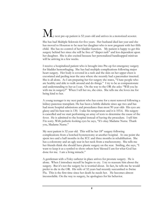## W<sub>y next</sub> pre-op patient is 52 years old and arrives in a motorized scooter.

She has had Multiple Sclerosis for five years. Her husband died last year and she has moved to Houston to be near her daughter who is now pregnant with her fifth child. She has no control of her bladder function. My patient is happy to get this surgery behind her since she will be free of "diaper rash" and less dependent upon her daughter. She is also excited because her personalized handicapped minivan will be arriving in a few weeks.

I receive a hospitalized patient who is brought into Pre-op for emergency surgery for bladder hemorrhaging. She has had multiple complications following major heart surgery. Her body is covered in a rash and the skin on her upper chest is excoriated and peeling near the area where she recently had a pacemaker inserted. She is all alone. As I am preparing her for surgery she states, "I hate people who are healthy and able to walk around and do things." I try to be as compassionate and understanding to her as I can. On the way to the OR she asks: "Will you be with me in surgery?" When I tell her no, she cries. She tells me she loves me for being kind to her.

A young teenager is my next patient who has come for a stent removal following a kidney-pancreas transplant. He has been a brittle diabetic since age two and has had more hospital admissions and procedures than most 90 year olds His eyes are glassy and his heat rate is 130. I take his temperature and it is 103.6. His surgery is cancelled and we start performing an array of tests to determine the cause of the fever. He is admitted to the hospital instead of having the procedure. I tell him I'm sorry. With pathetic-looking eyes he says, "It's okay Madame Nurse. Thank you, Madame Nurse."

My next patient is 32 year old. This will be her  $18<sup>th</sup>$  surgery following complications from a botched hysterectomy at another hospital. At one point she spent two and a half months in the ICU and three months in rehabilitation. She has a colostomy and an ugly scar in her neck from a trachesotomy. She tells me her friends think she should have plastic surgery on the scar. Smiling, she says, "I want to keep it as a symbol to show others how blessed I am for what God has done for me. I am a living miracle."

A gentleman with a Foley catheter in place arrives for prostate surgery. He is alone. When I introduce myself he begins to cry. I try to reassure him about the surgery. But it's not the surgery he is worried about. In fact, he tells me he would prefer to die in the OR. His wife of 32 years had recently succumbed to Swine Flu. This is the first time since her death he needs her. He becomes almost inconsolable. On the way to surgery, he apologizes for his behavior.